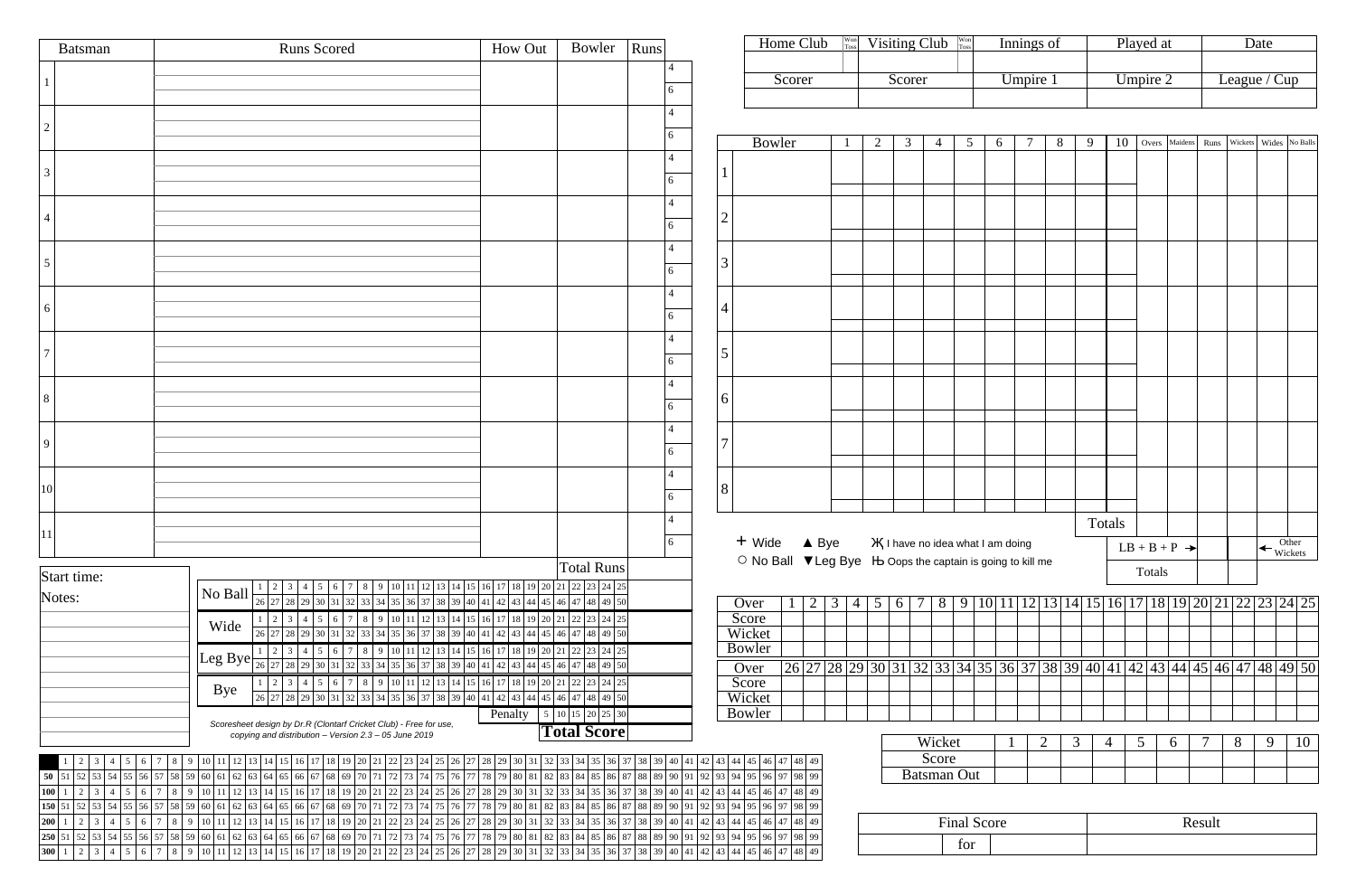| <b>Batsman</b>               | <b>Runs Scored</b>                                                                                                                                                                                                                                                                                | Bowler<br>How Out                                                                                                     | Runs                    |                                  |                         | Home Club                                                  | $\begin{array}{c}\n\text{Won} \\ \text{Toss}\n\end{array}$                            |                | Visiting Club $\frac{W_{\text{on}}}{T_{\text{loss}}}$ |                             |                    |   | Innings of |                |    |                | Played at       |                            |        |   | Date |                                                                                         |
|------------------------------|---------------------------------------------------------------------------------------------------------------------------------------------------------------------------------------------------------------------------------------------------------------------------------------------------|-----------------------------------------------------------------------------------------------------------------------|-------------------------|----------------------------------|-------------------------|------------------------------------------------------------|---------------------------------------------------------------------------------------|----------------|-------------------------------------------------------|-----------------------------|--------------------|---|------------|----------------|----|----------------|-----------------|----------------------------|--------|---|------|-----------------------------------------------------------------------------------------|
|                              |                                                                                                                                                                                                                                                                                                   |                                                                                                                       |                         | 6                                |                         | Scorer                                                     |                                                                                       |                | Scorer                                                |                             |                    |   | Umpire 1   |                |    |                | Umpire 2        |                            |        |   |      | League / Cup                                                                            |
|                              |                                                                                                                                                                                                                                                                                                   |                                                                                                                       |                         | 6                                |                         | <b>Bowler</b>                                              | $\mathbf{1}$                                                                          | 2              | 3                                                     |                             | $5\overline{)}$    | 6 |            | 8              | -9 | 10             |                 | Overs Maidens Runs Wickets |        |   |      | Wides No Balls                                                                          |
| $\overline{3}$               |                                                                                                                                                                                                                                                                                                   |                                                                                                                       |                         | 6                                |                         |                                                            |                                                                                       |                |                                                       |                             |                    |   |            |                |    |                |                 |                            |        |   |      |                                                                                         |
|                              |                                                                                                                                                                                                                                                                                                   |                                                                                                                       |                         | 6                                | $\overline{2}$          |                                                            |                                                                                       |                |                                                       |                             |                    |   |            |                |    |                |                 |                            |        |   |      |                                                                                         |
| 5                            |                                                                                                                                                                                                                                                                                                   |                                                                                                                       |                         | 6                                | $\overline{3}$          |                                                            |                                                                                       |                |                                                       |                             |                    |   |            |                |    |                |                 |                            |        |   |      |                                                                                         |
| 6                            |                                                                                                                                                                                                                                                                                                   |                                                                                                                       |                         | 6                                | $\overline{4}$          |                                                            |                                                                                       |                |                                                       |                             |                    |   |            |                |    |                |                 |                            |        |   |      |                                                                                         |
|                              |                                                                                                                                                                                                                                                                                                   |                                                                                                                       |                         | 6                                | $\overline{5}$          |                                                            |                                                                                       |                |                                                       |                             |                    |   |            |                |    |                |                 |                            |        |   |      |                                                                                         |
| 8                            |                                                                                                                                                                                                                                                                                                   |                                                                                                                       |                         | 6                                | 6                       |                                                            |                                                                                       |                |                                                       |                             |                    |   |            |                |    |                |                 |                            |        |   |      |                                                                                         |
| 9                            |                                                                                                                                                                                                                                                                                                   |                                                                                                                       |                         | 6                                | ⇁                       |                                                            |                                                                                       |                |                                                       |                             |                    |   |            |                |    |                |                 |                            |        |   |      |                                                                                         |
| 10                           |                                                                                                                                                                                                                                                                                                   |                                                                                                                       |                         | 6                                | 8                       |                                                            |                                                                                       |                |                                                       |                             |                    |   |            |                |    |                |                 |                            |        |   |      |                                                                                         |
| 11                           |                                                                                                                                                                                                                                                                                                   |                                                                                                                       |                         |                                  |                         |                                                            |                                                                                       |                |                                                       |                             |                    |   |            |                |    | Totals         |                 |                            |        |   |      |                                                                                         |
|                              |                                                                                                                                                                                                                                                                                                   |                                                                                                                       |                         | 6                                | + Wide                  | ○ No Ball ▼ Leg Bye H Oops the captain is going to kill me | $\triangle$ Bye                                                                       |                | <b>X</b> I have no idea what I am doing               |                             |                    |   |            |                |    |                |                 | $LB + B + P \rightarrow$   |        |   |      | $\leftarrow$ Other<br>Wickets                                                           |
| Start time:                  |                                                                                                                                                                                                                                                                                                   | <b>Total Runs</b><br>14   15   16   17   18   19   20   21   22   23   24   25                                        |                         |                                  |                         |                                                            |                                                                                       |                |                                                       |                             |                    |   |            |                |    |                | Totals          |                            |        |   |      |                                                                                         |
| Notes:                       | No Ball<br>26<br>Wide<br>26                                                                                                                                                                                                                                                                       | 10 11 12 13 14 15 16 17 18 19 20 21 22 23 24 25                                                                       | 48 49 50<br>48 49 50    |                                  | Over<br>Score<br>Wicket | 2 <sub>1</sub>                                             | $3 \mid 4$                                                                            | 5 <sup>1</sup> | 6                                                     |                             |                    |   |            |                |    |                |                 |                            |        |   |      | $8   9   10   11   12   13   14   15   16   17   18   19   20   21   22   23   24   25$ |
|                              | Leg Bye<br>26<br>36 37 38                                                                                                                                                                                                                                                                         | 11   12   13   14   15   16   17   18   19   20   21  <br>39 40 41 42 43 44 45 46                                     | 22 23 24 25<br>48 49 50 |                                  | Bowler                  |                                                            |                                                                                       |                |                                                       |                             |                    |   |            |                |    |                |                 |                            |        |   |      |                                                                                         |
|                              | 10   11   12   13   14   15   16   17   18   19   20   21                                                                                                                                                                                                                                         | 22 23 24 25                                                                                                           |                         |                                  | Over<br>Score           |                                                            | $\frac{126}{27}$ 28 29 30 31 32 33 34 35 36 37 38 39 40 41 42 43 44 45 46 47 48 49 50 |                |                                                       |                             |                    |   |            |                |    |                |                 |                            |        |   |      |                                                                                         |
|                              | Bye<br>26                                                                                                                                                                                                                                                                                         | 36 37 38 39 40 41 42 43 44 45 46                                                                                      | 48 49 50                |                                  | Wicket                  |                                                            |                                                                                       |                |                                                       |                             |                    |   |            |                |    |                |                 |                            |        |   |      |                                                                                         |
|                              | Scoresheet design by Dr.R (Clontarf Cricket Club) - Free for use,                                                                                                                                                                                                                                 | <b>Penalty</b> $\begin{array}{ c c } 5 & 10 & 15 & 20 & 25 & 30 \end{array}$<br><b>Total Score</b>                    |                         |                                  | Bowler                  |                                                            |                                                                                       |                |                                                       |                             |                    |   |            |                |    |                |                 |                            |        |   |      |                                                                                         |
|                              | copying and distribution - Version 2.3 - 05 June 2019                                                                                                                                                                                                                                             |                                                                                                                       |                         |                                  |                         |                                                            |                                                                                       |                |                                                       | Wicket                      |                    |   |            | $\overline{2}$ | 3  | $\overline{4}$ | $5\overline{)}$ | 6                          |        | 8 | 9    | 10                                                                                      |
|                              | 16 17 18 19 20 21<br>22 23 24<br>25<br>$\begin{array}{c} 8 \end{array}$                                                                                                                                                                                                                           |                                                                                                                       | 36                      | 37 38 39 40 41 42 43 44 45 46 47 |                         |                                                            |                                                                                       |                |                                                       | Score<br><b>Batsman Out</b> |                    |   |            |                |    |                |                 |                            |        |   |      |                                                                                         |
| 100<br>$1 \mid 2$            | 50 51 52 53 54 55 56 57 58 59 60 61 62 63 64 65 66 67 68 69 70 71 72 73 74 75 76 77 78 79 80 81 82 83 84 85 86 87 88 89 90 91 92 93 94 95 96 97 98 99 90<br>3 4 5 6 7 8 9 10 11 12 13 14 15 16 17 18 19 20 21 22 23 24 25 26 27 28 29 30 31 32 33 34 35 36 37 38 39 40 41 42 43 44 45 46 47 48 49 |                                                                                                                       |                         |                                  |                         |                                                            |                                                                                       |                |                                                       |                             |                    |   |            |                |    |                |                 |                            |        |   |      |                                                                                         |
| 150 51 52                    | 53   54   55   56   57   58   59   60   61   62   63   64   65   66   67   68   69   70   71   72   73   74   75                                                                                                                                                                                  | 76   77   78   79   80   81   82   83   84   85   86   87   88   89   90   91   92   93   94   95   96   97   98   99 |                         |                                  |                         |                                                            |                                                                                       |                |                                                       |                             |                    |   |            |                |    |                |                 |                            |        |   |      |                                                                                         |
| 200<br>$\sqrt{2}$            | 3 4 5 6 7 8 9 10 11 12 13 14 15 16 17 18 19 20 21 22 23 24 25 26 27 28 29 30 31 32 33 34 35 36 37 38 39 40 41 42 43 44 45 46 47 48 49                                                                                                                                                             |                                                                                                                       |                         |                                  |                         |                                                            |                                                                                       |                |                                                       |                             | <b>Final Score</b> |   |            |                |    |                |                 |                            | Result |   |      |                                                                                         |
| $250 \mid 51 \mid 52$<br>300 | 53 54 55 56 57 58 59 60 61 62 63 64 65 66 67 68 69 70 71 72 73 74 75 76 77 78 79 80 81 82 83 84 85 86 87 88 89 90 91 92 93 94 95 96 97 98 99                                                                                                                                                      |                                                                                                                       |                         |                                  | for<br> 46 47 48 49     |                                                            |                                                                                       |                |                                                       |                             |                    |   |            |                |    |                |                 |                            |        |   |      |                                                                                         |

| Won<br>Toss | Innings of | Played at | )ate           |
|-------------|------------|-----------|----------------|
|             |            |           |                |
|             | Umpire 1   | Umpire 2  | League / $Cup$ |
|             |            |           |                |

| 5                | 6               | $\tau$                  |                | 8              | 9 | 10             |                 | Overs  | Maidens                                             |        | Runs | Wickets |   |                  | Wides No Balls |
|------------------|-----------------|-------------------------|----------------|----------------|---|----------------|-----------------|--------|-----------------------------------------------------|--------|------|---------|---|------------------|----------------|
|                  |                 |                         |                |                |   |                |                 |        |                                                     |        |      |         |   |                  |                |
|                  |                 |                         |                |                |   |                |                 |        |                                                     |        |      |         |   |                  |                |
|                  |                 |                         |                |                |   |                |                 |        |                                                     |        |      |         |   |                  |                |
|                  |                 |                         |                |                |   |                |                 |        |                                                     |        |      |         |   |                  |                |
|                  |                 |                         |                |                |   |                |                 |        |                                                     |        |      |         |   |                  |                |
|                  |                 |                         |                |                |   |                |                 |        |                                                     |        |      |         |   |                  |                |
|                  |                 |                         |                |                |   |                |                 |        |                                                     |        |      |         |   |                  |                |
|                  |                 |                         |                |                |   |                |                 |        |                                                     |        |      |         |   |                  |                |
|                  |                 |                         |                |                |   |                |                 |        |                                                     |        |      |         |   |                  |                |
|                  |                 |                         |                |                |   |                |                 |        |                                                     |        |      |         |   |                  |                |
|                  |                 |                         |                |                |   |                |                 |        |                                                     |        |      |         |   |                  |                |
|                  |                 |                         |                |                |   |                |                 |        |                                                     |        |      |         |   |                  |                |
|                  |                 |                         |                |                |   |                |                 |        |                                                     |        |      |         |   |                  |                |
|                  |                 |                         |                |                |   |                |                 |        |                                                     |        |      |         |   |                  |                |
|                  |                 |                         |                |                |   |                |                 |        |                                                     |        |      |         |   |                  |                |
|                  |                 |                         |                |                |   |                |                 |        |                                                     |        |      |         |   |                  |                |
|                  |                 |                         |                |                |   |                |                 |        |                                                     |        |      |         |   |                  |                |
|                  |                 |                         |                |                |   |                |                 |        |                                                     |        |      |         |   |                  |                |
|                  |                 |                         |                |                |   |                |                 |        |                                                     |        |      |         |   |                  |                |
|                  |                 |                         |                |                |   |                |                 |        |                                                     |        |      |         |   |                  |                |
|                  |                 |                         |                |                |   |                |                 |        |                                                     |        |      |         |   |                  |                |
|                  |                 |                         |                |                |   | Totals         |                 |        |                                                     |        |      |         |   |                  |                |
|                  | what I am doing |                         |                |                |   |                |                 |        | $LB + B + P \rightarrow$                            |        |      |         |   | Other<br>Wickets |                |
|                  |                 | ain is going to kill me |                |                |   |                |                 | Totals |                                                     |        |      |         |   |                  |                |
|                  |                 |                         |                |                |   |                |                 |        |                                                     |        |      |         |   |                  |                |
|                  |                 |                         |                |                |   |                |                 |        | $9 10 11 12 13 14 15 16 17 18 19 20 21 22 23 24 25$ |        |      |         |   |                  |                |
|                  |                 |                         |                |                |   |                |                 |        |                                                     |        |      |         |   |                  |                |
|                  |                 |                         |                |                |   |                |                 |        |                                                     |        |      |         |   |                  |                |
|                  |                 |                         |                |                |   |                |                 |        |                                                     |        |      |         |   |                  |                |
|                  |                 |                         |                |                |   |                |                 |        | 34 35 36 37 38 39 40 41 42 43 44 45 46 47 48 49 50  |        |      |         |   |                  |                |
|                  |                 |                         |                |                |   |                |                 |        |                                                     |        |      |         |   |                  |                |
|                  |                 |                         |                |                |   |                |                 |        |                                                     |        |      |         |   |                  |                |
|                  |                 |                         |                |                |   |                |                 |        |                                                     |        |      |         |   |                  |                |
| t                | $\mathbf{1}$    |                         | $\overline{2}$ | $\mathfrak{Z}$ |   | $\overline{4}$ | $5\overline{)}$ |        | 6                                                   | $\tau$ |      | 8       | 9 |                  | 10             |
|                  |                 |                         |                |                |   |                |                 |        |                                                     |        |      |         |   |                  |                |
| $\overline{Out}$ |                 |                         |                |                |   |                |                 |        |                                                     |        |      |         |   |                  |                |
|                  |                 |                         |                |                |   |                |                 |        |                                                     |        |      |         |   |                  |                |